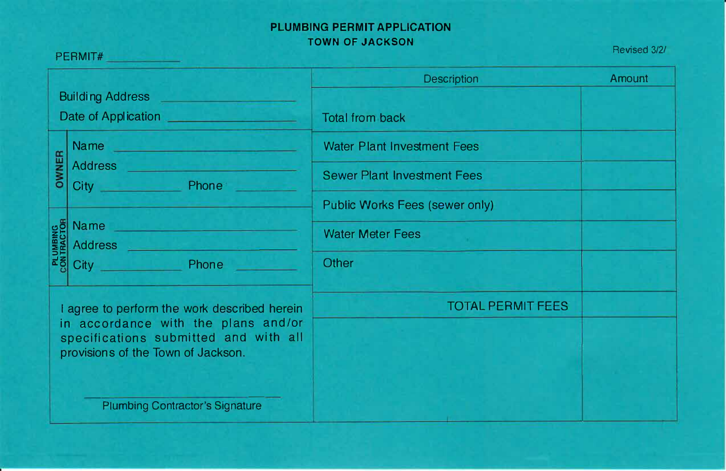## **PLUMBING PERMIT APPLICATION TOWN OF JACKSON**

## PERMIT# **Description Amount** Building Address Date of Application <u>Communication</u> Total from back Name Water Plant Investment Fees **OWNER Address Address** Sewer Plant Investment Fees City Phone Public Works Fees (sewer only) **0**<br> **1** Address <u>Contract Contract Contract Contract Contract Contract Contract Contract Contract Contract Contract Contract Contract Contract Contract Contract Contract Contract Contract Contract Contract Contract Contra</u> I agree to perform the work described herein TOTAL PERMIT FEES in accordance with the plans and/or specifications submitted and with all provisions of the Town of Jackson. Plumbing Contractor's Signature

Revised 3/21